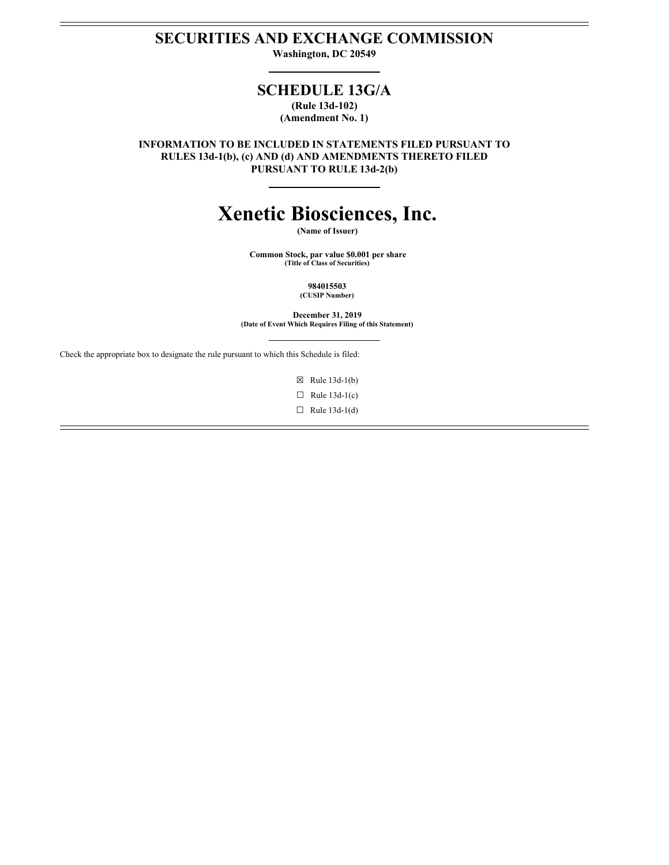# **SECURITIES AND EXCHANGE COMMISSION**

**Washington, DC 20549**

# **SCHEDULE 13G/A**

**(Rule 13d-102) (Amendment No. 1)**

**INFORMATION TO BE INCLUDED IN STATEMENTS FILED PURSUANT TO RULES 13d-1(b), (c) AND (d) AND AMENDMENTS THERETO FILED PURSUANT TO RULE 13d-2(b)**

# **Xenetic Biosciences, Inc.**

**Common Stock, par value \$0.001 per share (Title of Class of Securities)**

**December 31, 2019**

**(Date of Event Which Requires Filing of this Statement)**

Check the appropriate box to designate the rule pursuant to which this Schedule is filed:

 $\boxtimes$  Rule 13d-1(b)

 $\Box$  Rule 13d-1(c)

 $\Box$  Rule 13d-1(d)

**(Name of Issuer)**

## **984015503 (CUSIP Number)**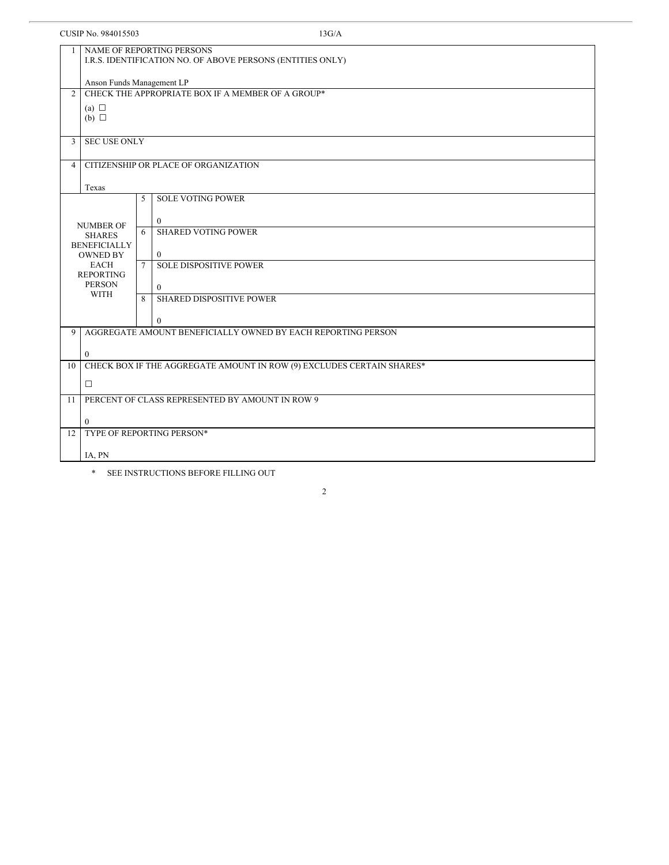| CUSIP No. 984015503                                                 |                                                                                         |        | 13G/A                                                                 |  |
|---------------------------------------------------------------------|-----------------------------------------------------------------------------------------|--------|-----------------------------------------------------------------------|--|
|                                                                     | NAME OF REPORTING PERSONS<br>I.R.S. IDENTIFICATION NO. OF ABOVE PERSONS (ENTITIES ONLY) |        |                                                                       |  |
|                                                                     | Anson Funds Management LP                                                               |        |                                                                       |  |
| CHECK THE APPROPRIATE BOX IF A MEMBER OF A GROUP*<br>$\overline{2}$ |                                                                                         |        |                                                                       |  |
| (a) $\Box$<br>$(b)$ $\square$                                       |                                                                                         |        |                                                                       |  |
| $\mathfrak{Z}$                                                      | <b>SEC USE ONLY</b>                                                                     |        |                                                                       |  |
| 4                                                                   |                                                                                         |        | CITIZENSHIP OR PLACE OF ORGANIZATION                                  |  |
|                                                                     | Texas                                                                                   |        |                                                                       |  |
|                                                                     |                                                                                         | 5      | <b>SOLE VOTING POWER</b>                                              |  |
|                                                                     |                                                                                         |        | $\overline{0}$                                                        |  |
|                                                                     | <b>NUMBER OF</b><br><b>SHARES</b>                                                       | 6      | <b>SHARED VOTING POWER</b>                                            |  |
|                                                                     | <b>BENEFICIALLY</b><br><b>OWNED BY</b>                                                  |        | $\mathbf{0}$                                                          |  |
|                                                                     | <b>EACH</b>                                                                             | $\tau$ | <b>SOLE DISPOSITIVE POWER</b>                                         |  |
|                                                                     | <b>REPORTING</b><br><b>PERSON</b><br><b>WITH</b>                                        |        | $\Omega$                                                              |  |
|                                                                     |                                                                                         |        | <b>SHARED DISPOSITIVE POWER</b>                                       |  |
|                                                                     |                                                                                         |        | $\theta$                                                              |  |
| 9                                                                   |                                                                                         |        | AGGREGATE AMOUNT BENEFICIALLY OWNED BY EACH REPORTING PERSON          |  |
|                                                                     | $\bf{0}$                                                                                |        |                                                                       |  |
| 10                                                                  |                                                                                         |        | CHECK BOX IF THE AGGREGATE AMOUNT IN ROW (9) EXCLUDES CERTAIN SHARES* |  |
|                                                                     | $\Box$                                                                                  |        |                                                                       |  |
| 11                                                                  | PERCENT OF CLASS REPRESENTED BY AMOUNT IN ROW 9                                         |        |                                                                       |  |
|                                                                     | $\theta$                                                                                |        |                                                                       |  |
| 12                                                                  |                                                                                         |        | TYPE OF REPORTING PERSON*                                             |  |
|                                                                     | IA, PN                                                                                  |        |                                                                       |  |
|                                                                     |                                                                                         |        |                                                                       |  |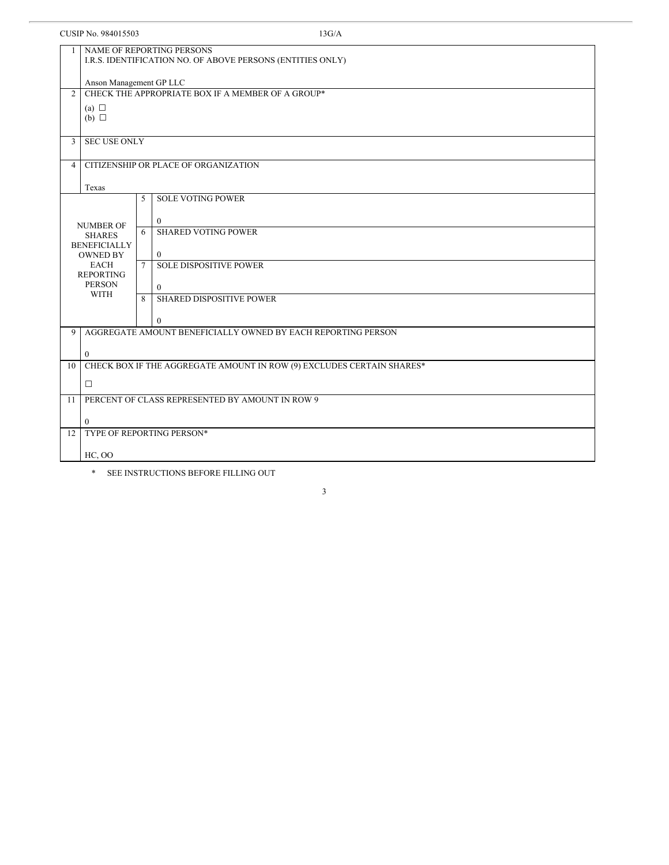| CUSIP No. 984015503                                                 |                                                 |             | 13G/A                                                                                   |  |
|---------------------------------------------------------------------|-------------------------------------------------|-------------|-----------------------------------------------------------------------------------------|--|
|                                                                     |                                                 |             | NAME OF REPORTING PERSONS<br>I.R.S. IDENTIFICATION NO. OF ABOVE PERSONS (ENTITIES ONLY) |  |
| Anson Management GP LLC                                             |                                                 |             |                                                                                         |  |
| CHECK THE APPROPRIATE BOX IF A MEMBER OF A GROUP*<br>$\overline{2}$ |                                                 |             |                                                                                         |  |
|                                                                     | (a) $\Box$<br>$(b)$ $\square$                   |             |                                                                                         |  |
| 3                                                                   | <b>SEC USE ONLY</b>                             |             |                                                                                         |  |
| 4                                                                   |                                                 |             | CITIZENSHIP OR PLACE OF ORGANIZATION                                                    |  |
|                                                                     | Texas                                           |             |                                                                                         |  |
|                                                                     |                                                 | 5           | <b>SOLE VOTING POWER</b>                                                                |  |
|                                                                     |                                                 |             | $\mathbf{0}$                                                                            |  |
|                                                                     | <b>NUMBER OF</b><br><b>SHARES</b>               | 6           | <b>SHARED VOTING POWER</b>                                                              |  |
|                                                                     | <b>BENEFICIALLY</b><br><b>OWNED BY</b>          |             | $\mathbf{0}$                                                                            |  |
|                                                                     | EACH                                            | $7^{\circ}$ | <b>SOLE DISPOSITIVE POWER</b>                                                           |  |
|                                                                     | <b>REPORTING</b><br><b>PERSON</b>               |             | $\theta$                                                                                |  |
|                                                                     | <b>WITH</b>                                     | 8           | <b>SHARED DISPOSITIVE POWER</b>                                                         |  |
|                                                                     |                                                 |             | $\theta$                                                                                |  |
| 9                                                                   |                                                 |             | AGGREGATE AMOUNT BENEFICIALLY OWNED BY EACH REPORTING PERSON                            |  |
|                                                                     | $\overline{0}$                                  |             |                                                                                         |  |
| 10                                                                  |                                                 |             | CHECK BOX IF THE AGGREGATE AMOUNT IN ROW (9) EXCLUDES CERTAIN SHARES*                   |  |
|                                                                     | $\Box$                                          |             |                                                                                         |  |
| 11                                                                  | PERCENT OF CLASS REPRESENTED BY AMOUNT IN ROW 9 |             |                                                                                         |  |
|                                                                     | $\theta$                                        |             |                                                                                         |  |
| 12                                                                  |                                                 |             | TYPE OF REPORTING PERSON*                                                               |  |
|                                                                     | HC, OO                                          |             |                                                                                         |  |
|                                                                     |                                                 |             |                                                                                         |  |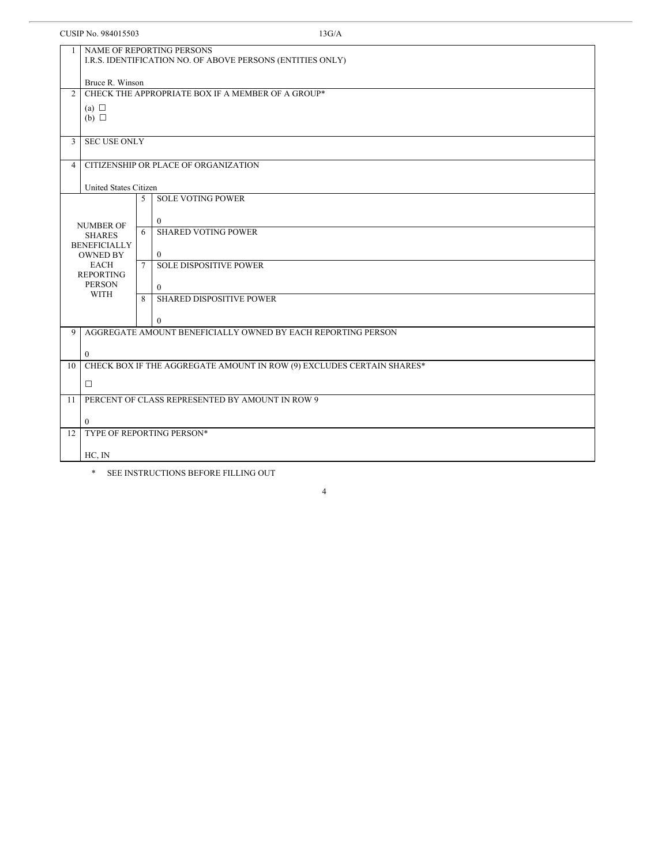| CUSIP No. 984015503<br>13G/A |                                                                                                |             |                                                                       |  |  |
|------------------------------|------------------------------------------------------------------------------------------------|-------------|-----------------------------------------------------------------------|--|--|
| $\mathbf{1}$                 | <b>NAME OF REPORTING PERSONS</b><br>I.R.S. IDENTIFICATION NO. OF ABOVE PERSONS (ENTITIES ONLY) |             |                                                                       |  |  |
|                              | Bruce R. Winson                                                                                |             |                                                                       |  |  |
| $\overline{2}$               | CHECK THE APPROPRIATE BOX IF A MEMBER OF A GROUP*                                              |             |                                                                       |  |  |
|                              | (a) $\Box$                                                                                     |             |                                                                       |  |  |
|                              | $(b)$ $\square$                                                                                |             |                                                                       |  |  |
| $\mathfrak{Z}$               | <b>SEC USE ONLY</b>                                                                            |             |                                                                       |  |  |
| $\overline{4}$               |                                                                                                |             | CITIZENSHIP OR PLACE OF ORGANIZATION                                  |  |  |
|                              |                                                                                                |             |                                                                       |  |  |
|                              | United States Citizen                                                                          |             |                                                                       |  |  |
|                              |                                                                                                | 5           | <b>SOLE VOTING POWER</b>                                              |  |  |
|                              |                                                                                                |             | $\overline{0}$                                                        |  |  |
|                              | <b>NUMBER OF</b><br><b>SHARES</b>                                                              | 6           | <b>SHARED VOTING POWER</b>                                            |  |  |
|                              | <b>BENEFICIALLY</b>                                                                            |             |                                                                       |  |  |
|                              | <b>OWNED BY</b><br><b>EACH</b>                                                                 | $7^{\circ}$ | $\theta$<br><b>SOLE DISPOSITIVE POWER</b>                             |  |  |
|                              | <b>REPORTING</b>                                                                               |             |                                                                       |  |  |
|                              | <b>PERSON</b>                                                                                  |             | $\theta$                                                              |  |  |
|                              | <b>WITH</b>                                                                                    |             | <b>SHARED DISPOSITIVE POWER</b>                                       |  |  |
|                              |                                                                                                |             | $\mathbf{0}$                                                          |  |  |
| 9                            |                                                                                                |             | AGGREGATE AMOUNT BENEFICIALLY OWNED BY EACH REPORTING PERSON          |  |  |
|                              |                                                                                                |             |                                                                       |  |  |
|                              | $\theta$                                                                                       |             |                                                                       |  |  |
| 10                           |                                                                                                |             | CHECK BOX IF THE AGGREGATE AMOUNT IN ROW (9) EXCLUDES CERTAIN SHARES* |  |  |
|                              | $\Box$                                                                                         |             |                                                                       |  |  |
| 11                           |                                                                                                |             | PERCENT OF CLASS REPRESENTED BY AMOUNT IN ROW 9                       |  |  |
|                              | $\Omega$                                                                                       |             |                                                                       |  |  |
| 12                           |                                                                                                |             | TYPE OF REPORTING PERSON*                                             |  |  |
|                              |                                                                                                |             |                                                                       |  |  |
|                              | HC, IN                                                                                         |             |                                                                       |  |  |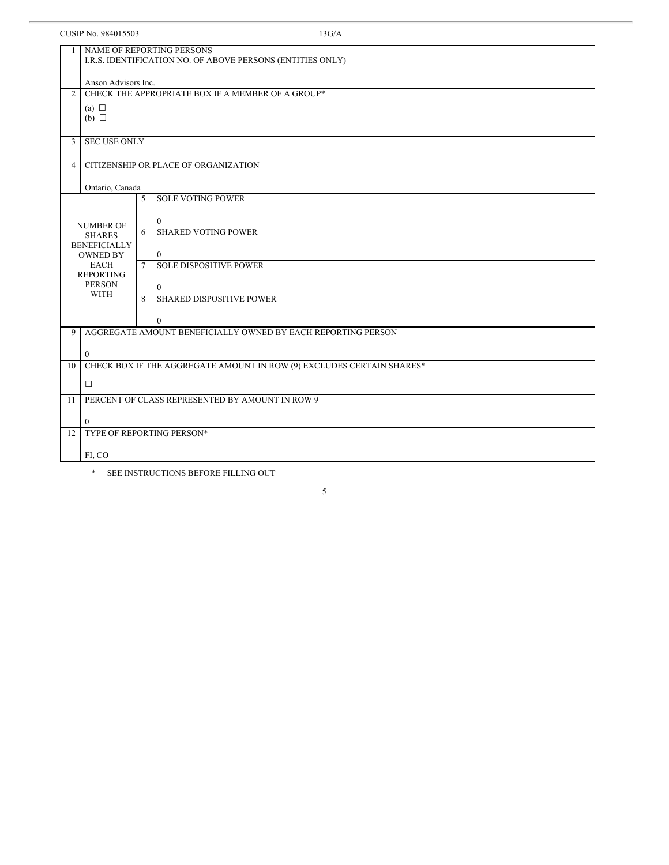| CUSIP No. 984015503 |                                                                                                |             | 13G/A                                                        |  |
|---------------------|------------------------------------------------------------------------------------------------|-------------|--------------------------------------------------------------|--|
|                     | <b>NAME OF REPORTING PERSONS</b><br>I.R.S. IDENTIFICATION NO. OF ABOVE PERSONS (ENTITIES ONLY) |             |                                                              |  |
|                     | Anson Advisors Inc.<br>CHECK THE APPROPRIATE BOX IF A MEMBER OF A GROUP*                       |             |                                                              |  |
|                     | $\overline{2}$                                                                                 |             |                                                              |  |
|                     | (a) $\Box$<br>$(b)$ $\square$                                                                  |             |                                                              |  |
| 3                   | <b>SEC USE ONLY</b>                                                                            |             |                                                              |  |
| $\overline{4}$      |                                                                                                |             | CITIZENSHIP OR PLACE OF ORGANIZATION                         |  |
|                     | Ontario, Canada                                                                                |             |                                                              |  |
|                     |                                                                                                | 5           | <b>SOLE VOTING POWER</b>                                     |  |
|                     |                                                                                                |             | $\theta$                                                     |  |
|                     | <b>NUMBER OF</b><br><b>SHARES</b>                                                              | 6           | <b>SHARED VOTING POWER</b>                                   |  |
|                     | <b>BENEFICIALLY</b>                                                                            |             |                                                              |  |
|                     | <b>OWNED BY</b><br><b>EACH</b>                                                                 | $7^{\circ}$ | $\mathbf{0}$<br><b>SOLE DISPOSITIVE POWER</b>                |  |
|                     | <b>REPORTING</b><br><b>PERSON</b>                                                              |             | $\Omega$                                                     |  |
|                     | <b>WITH</b>                                                                                    |             | <b>SHARED DISPOSITIVE POWER</b>                              |  |
|                     |                                                                                                |             | $\theta$                                                     |  |
| 9                   |                                                                                                |             | AGGREGATE AMOUNT BENEFICIALLY OWNED BY EACH REPORTING PERSON |  |
|                     |                                                                                                |             |                                                              |  |
| 10                  | $\theta$<br>CHECK BOX IF THE AGGREGATE AMOUNT IN ROW (9) EXCLUDES CERTAIN SHARES*              |             |                                                              |  |
|                     | $\Box$                                                                                         |             |                                                              |  |
| 11                  | PERCENT OF CLASS REPRESENTED BY AMOUNT IN ROW 9                                                |             |                                                              |  |
|                     | $\theta$                                                                                       |             |                                                              |  |
| 12                  |                                                                                                |             | TYPE OF REPORTING PERSON*                                    |  |
|                     |                                                                                                |             |                                                              |  |
|                     | FI, CO                                                                                         |             |                                                              |  |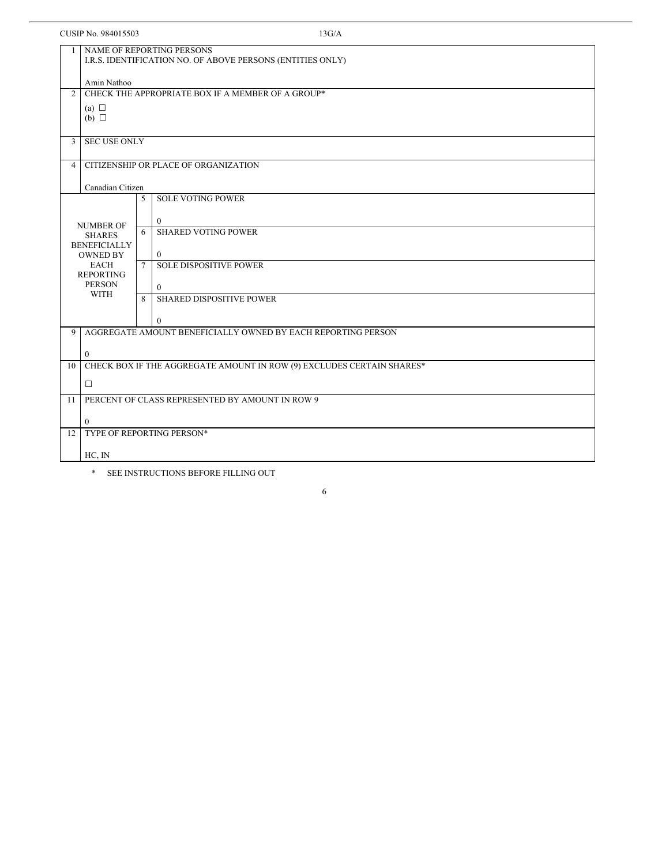| CUSIP No. 984015503 | 13G/A |
|---------------------|-------|
|---------------------|-------|

|                | NAME OF REPORTING PERSONS<br>$\mathbf{1}$<br>I.R.S. IDENTIFICATION NO. OF ABOVE PERSONS (ENTITIES ONLY) |                 |                                                                       |  |  |  |
|----------------|---------------------------------------------------------------------------------------------------------|-----------------|-----------------------------------------------------------------------|--|--|--|
|                | Amin Nathoo                                                                                             |                 |                                                                       |  |  |  |
| $\overline{2}$ | CHECK THE APPROPRIATE BOX IF A MEMBER OF A GROUP*                                                       |                 |                                                                       |  |  |  |
|                | (a) $\Box$                                                                                              |                 |                                                                       |  |  |  |
|                | $(b)$ $\square$                                                                                         |                 |                                                                       |  |  |  |
| $\overline{3}$ | <b>SEC USE ONLY</b>                                                                                     |                 |                                                                       |  |  |  |
| $\overline{4}$ |                                                                                                         |                 | CITIZENSHIP OR PLACE OF ORGANIZATION                                  |  |  |  |
|                |                                                                                                         |                 |                                                                       |  |  |  |
|                | Canadian Citizen                                                                                        |                 |                                                                       |  |  |  |
|                |                                                                                                         | 5               | <b>SOLE VOTING POWER</b>                                              |  |  |  |
|                |                                                                                                         |                 |                                                                       |  |  |  |
|                | <b>NUMBER OF</b>                                                                                        | 6               | $\bf{0}$<br><b>SHARED VOTING POWER</b>                                |  |  |  |
|                | <b>SHARES</b>                                                                                           |                 |                                                                       |  |  |  |
|                | <b>BENEFICIALLY</b><br><b>OWNED BY</b>                                                                  |                 | $\mathbf{0}$                                                          |  |  |  |
|                | <b>EACH</b>                                                                                             | $7\overline{ }$ | <b>SOLE DISPOSITIVE POWER</b>                                         |  |  |  |
|                | <b>REPORTING</b>                                                                                        |                 |                                                                       |  |  |  |
|                | <b>PERSON</b>                                                                                           |                 | $\mathbf{0}$                                                          |  |  |  |
|                | <b>WITH</b>                                                                                             | 8               | <b>SHARED DISPOSITIVE POWER</b>                                       |  |  |  |
|                |                                                                                                         |                 |                                                                       |  |  |  |
|                |                                                                                                         |                 | $\mathbf{0}$                                                          |  |  |  |
| 9              |                                                                                                         |                 | AGGREGATE AMOUNT BENEFICIALLY OWNED BY EACH REPORTING PERSON          |  |  |  |
|                | $\mathbf{0}$                                                                                            |                 |                                                                       |  |  |  |
| 10             |                                                                                                         |                 | CHECK BOX IF THE AGGREGATE AMOUNT IN ROW (9) EXCLUDES CERTAIN SHARES* |  |  |  |
|                | $\Box$                                                                                                  |                 |                                                                       |  |  |  |
| 11             |                                                                                                         |                 | PERCENT OF CLASS REPRESENTED BY AMOUNT IN ROW 9                       |  |  |  |
|                | $\theta$                                                                                                |                 |                                                                       |  |  |  |
| 12             |                                                                                                         |                 | TYPE OF REPORTING PERSON*                                             |  |  |  |
|                | HC, IN                                                                                                  |                 |                                                                       |  |  |  |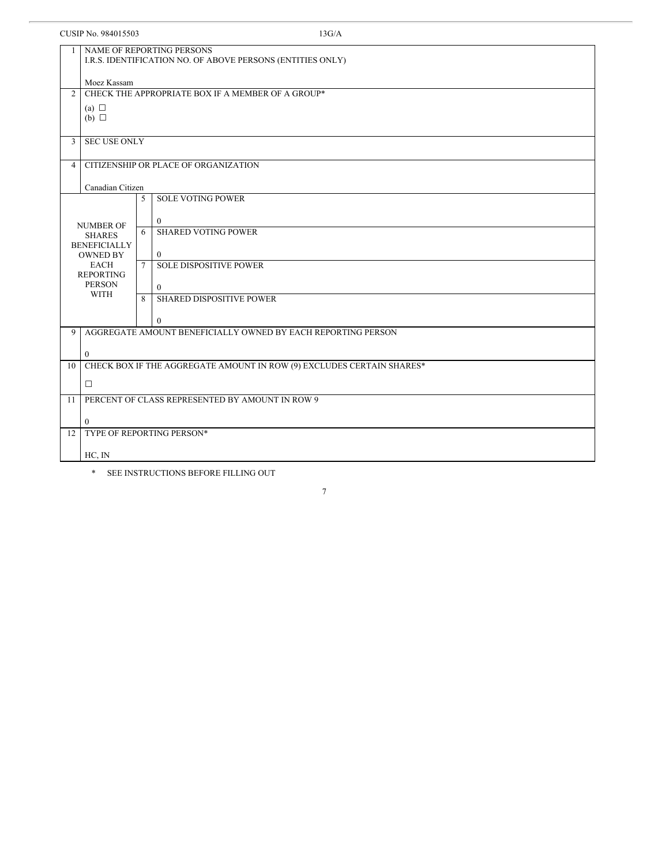| CUSIP No. 984015503 | 13G/A |
|---------------------|-------|
|---------------------|-------|

| $\mathbf{1}$   | NAME OF REPORTING PERSONS                                           |              |                                                                       |  |  |  |
|----------------|---------------------------------------------------------------------|--------------|-----------------------------------------------------------------------|--|--|--|
|                | I.R.S. IDENTIFICATION NO. OF ABOVE PERSONS (ENTITIES ONLY)          |              |                                                                       |  |  |  |
|                |                                                                     |              |                                                                       |  |  |  |
|                | Moez Kassam                                                         |              |                                                                       |  |  |  |
|                | CHECK THE APPROPRIATE BOX IF A MEMBER OF A GROUP*<br>$\overline{2}$ |              |                                                                       |  |  |  |
|                | (a) $\Box$                                                          |              |                                                                       |  |  |  |
|                | $(b)$ $\square$                                                     |              |                                                                       |  |  |  |
|                |                                                                     |              |                                                                       |  |  |  |
| $\overline{3}$ | <b>SEC USE ONLY</b>                                                 |              |                                                                       |  |  |  |
|                |                                                                     |              |                                                                       |  |  |  |
| $\overline{4}$ |                                                                     |              | CITIZENSHIP OR PLACE OF ORGANIZATION                                  |  |  |  |
|                |                                                                     |              |                                                                       |  |  |  |
|                | Canadian Citizen                                                    | 5            | <b>SOLE VOTING POWER</b>                                              |  |  |  |
|                |                                                                     |              |                                                                       |  |  |  |
|                |                                                                     |              | $\Omega$                                                              |  |  |  |
|                | <b>NUMBER OF</b><br><b>SHARES</b>                                   | 6            | <b>SHARED VOTING POWER</b>                                            |  |  |  |
|                | <b>BENEFICIALLY</b>                                                 |              |                                                                       |  |  |  |
|                | <b>OWNED BY</b>                                                     |              | $\theta$                                                              |  |  |  |
|                | <b>EACH</b>                                                         | $7^{\circ}$  | <b>SOLE DISPOSITIVE POWER</b>                                         |  |  |  |
|                | <b>REPORTING</b>                                                    |              |                                                                       |  |  |  |
|                | <b>PERSON</b><br><b>WITH</b>                                        |              | $\theta$                                                              |  |  |  |
|                |                                                                     | $\mathbf{8}$ | <b>SHARED DISPOSITIVE POWER</b>                                       |  |  |  |
|                |                                                                     |              |                                                                       |  |  |  |
| 9              |                                                                     |              | $\mathbf{0}$                                                          |  |  |  |
|                |                                                                     |              | AGGREGATE AMOUNT BENEFICIALLY OWNED BY EACH REPORTING PERSON          |  |  |  |
|                | $\mathbf{0}$                                                        |              |                                                                       |  |  |  |
| 10             |                                                                     |              | CHECK BOX IF THE AGGREGATE AMOUNT IN ROW (9) EXCLUDES CERTAIN SHARES* |  |  |  |
|                |                                                                     |              |                                                                       |  |  |  |
|                | $\Box$                                                              |              |                                                                       |  |  |  |
| 11             | PERCENT OF CLASS REPRESENTED BY AMOUNT IN ROW 9                     |              |                                                                       |  |  |  |
|                |                                                                     |              |                                                                       |  |  |  |
|                | $\theta$                                                            |              |                                                                       |  |  |  |
| 12             |                                                                     |              | TYPE OF REPORTING PERSON*                                             |  |  |  |
|                |                                                                     |              |                                                                       |  |  |  |
|                | HC, IN                                                              |              |                                                                       |  |  |  |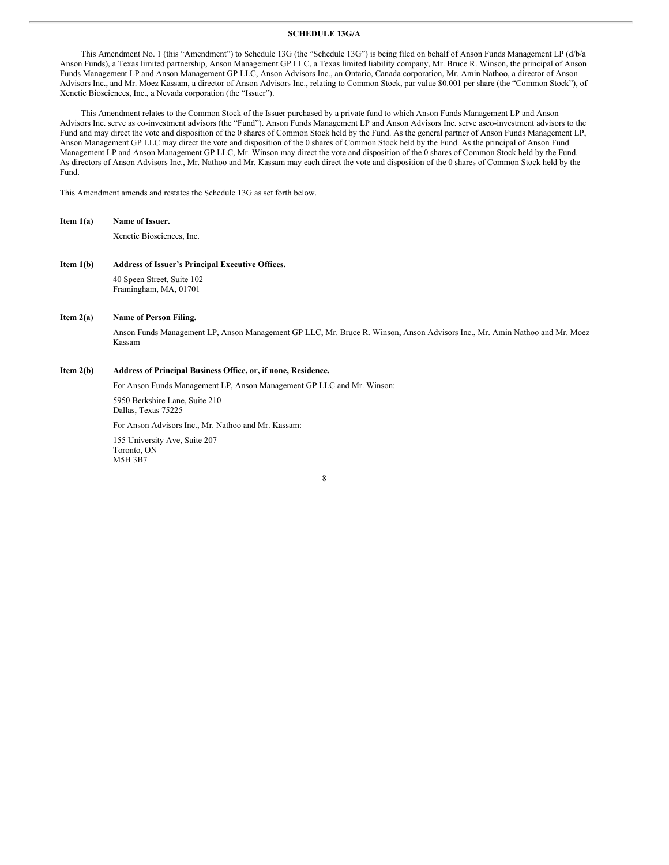#### **SCHEDULE 13G/A**

This Amendment No. 1 (this "Amendment") to Schedule 13G (the "Schedule 13G") is being filed on behalf of Anson Funds Management LP (d/b/a Anson Funds), a Texas limited partnership, Anson Management GP LLC, a Texas limited liability company, Mr. Bruce R. Winson, the principal of Anson Funds Management LP and Anson Management GP LLC, Anson Advisors Inc., an Ontario, Canada corporation, Mr. Amin Nathoo, a director of Anson Advisors Inc., and Mr. Moez Kassam, a director of Anson Advisors Inc., relating to Common Stock, par value \$0.001 per share (the "Common Stock"), of Xenetic Biosciences, Inc., a Nevada corporation (the "Issuer").

This Amendment relates to the Common Stock of the Issuer purchased by a private fund to which Anson Funds Management LP and Anson Advisors Inc. serve as co-investment advisors (the "Fund"). Anson Funds Management LP and Anson Advisors Inc. serve asco-investment advisors to the Fund and may direct the vote and disposition of the 0 shares of Common Stock held by the Fund. As the general partner of Anson Funds Management LP, Anson Management GP LLC may direct the vote and disposition of the 0 shares of Common Stock held by the Fund. As the principal of Anson Fund Management LP and Anson Management GP LLC, Mr. Winson may direct the vote and disposition of the 0 shares of Common Stock held by the Fund. As directors of Anson Advisors Inc., Mr. Nathoo and Mr. Kassam may each direct the vote and disposition of the 0 shares of Common Stock held by the Fund.

This Amendment amends and restates the Schedule 13G as set forth below.

**Item 1(a) Name of Issuer.**

Xenetic Biosciences, Inc.

**Item 1(b) Address of Issuer's Principal Executive Offices.** 40 Speen Street, Suite 102 Framingham, MA, 01701

#### **Item 2(a) Name of Person Filing.**

Anson Funds Management LP, Anson Management GP LLC, Mr. Bruce R. Winson, Anson Advisors Inc., Mr. Amin Nathoo and Mr. Moez Kassam

#### **Item 2(b) Address of Principal Business Office, or, if none, Residence.**

For Anson Funds Management LP, Anson Management GP LLC and Mr. Winson:

5950 Berkshire Lane, Suite 210 Dallas, Texas 75225

For Anson Advisors Inc., Mr. Nathoo and Mr. Kassam:

155 University Ave, Suite 207 Toronto, ON M5H 3B7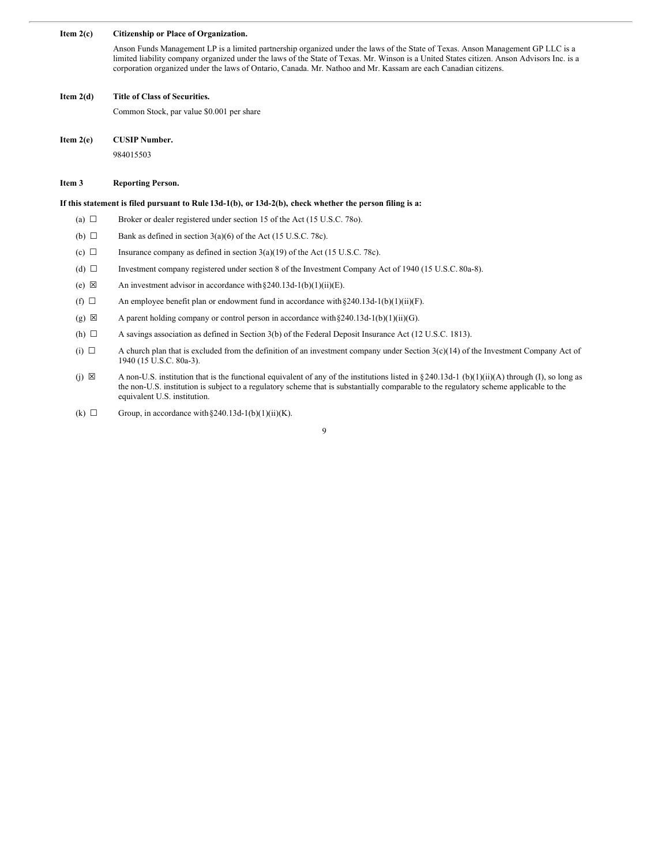#### **Item 2(c) Citizenship or Place of Organization.**

Anson Funds Management LP is a limited partnership organized under the laws of the State of Texas. Anson Management GP LLC is a limited liability company organized under the laws of the State of Texas. Mr. Winson is a United States citizen. Anson Advisors Inc. is a corporation organized under the laws of Ontario, Canada. Mr. Nathoo and Mr. Kassam are each Canadian citizens.

#### **Item 2(d) Title of Class of Securities.**

Common Stock, par value \$0.001 per share

**Item 2(e) CUSIP Number.**

984015503

#### **Item 3 Reporting Person.**

#### If this statement is filed pursuant to Rule 13d-1(b), or 13d-2(b), check whether the person filing is a:

- (a)  $\Box$  Broker or dealer registered under section 15 of the Act (15 U.S.C. 78o).
- (b)  $\Box$  Bank as defined in section 3(a)(6) of the Act (15 U.S.C. 78c).
- (c)  $\Box$  Insurance company as defined in section 3(a)(19) of the Act (15 U.S.C. 78c).
- (d) ☐ Investment company registered under section 8 of the Investment Company Act of 1940 (15 U.S.C. 80a-8).
- (e)  $\boxtimes$  An investment advisor in accordance with §240.13d-1(b)(1)(ii)(E).
- (f)  $\Box$  An employee benefit plan or endowment fund in accordance with §240.13d-1(b)(1)(ii)(F).
- (g)  $\boxtimes$  A parent holding company or control person in accordance with §240.13d-1(b)(1)(ii)(G).
- (h)  $\Box$  A savings association as defined in Section 3(b) of the Federal Deposit Insurance Act (12 U.S.C. 1813).
- (i)  $\Box$  A church plan that is excluded from the definition of an investment company under Section 3(c)(14) of the Investment Company Act of 1940 (15 U.S.C. 80a-3).
- (j)  $\boxtimes$  A non-U.S. institution that is the functional equivalent of any of the institutions listed in §240.13d-1 (b)(1)(ii)(A) through (I), so long as the non-U.S. institution is subject to a regulatory scheme that is substantially comparable to the regulatory scheme applicable to the equivalent U.S. institution.
- (k)  $\Box$  Group, in accordance with §240.13d-1(b)(1)(ii)(K).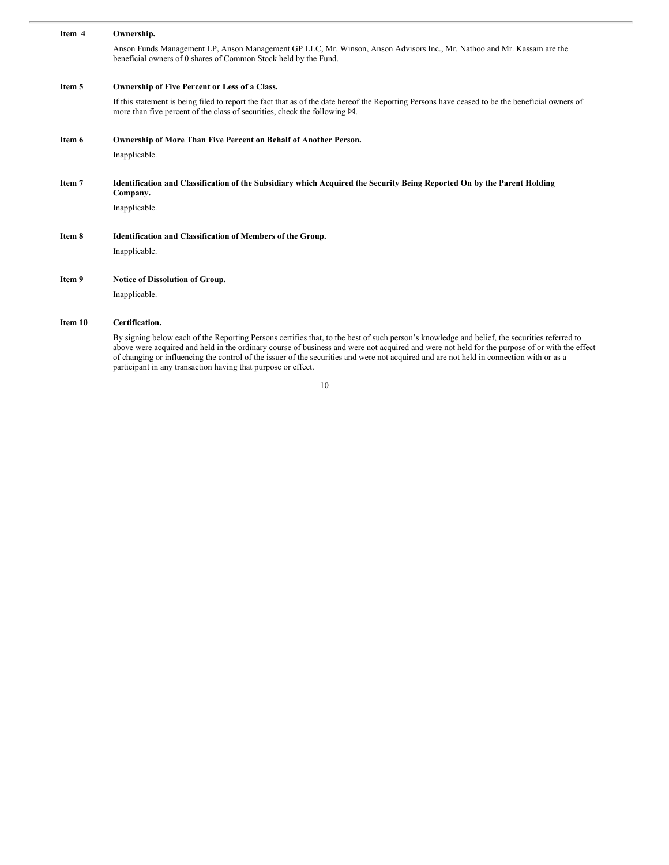| Item 4  | Ownership.                                                                                                                                                                                                                              |
|---------|-----------------------------------------------------------------------------------------------------------------------------------------------------------------------------------------------------------------------------------------|
|         | Anson Funds Management LP, Anson Management GP LLC, Mr. Winson, Anson Advisors Inc., Mr. Nathoo and Mr. Kassam are the<br>beneficial owners of 0 shares of Common Stock held by the Fund.                                               |
| Item 5  | Ownership of Five Percent or Less of a Class.                                                                                                                                                                                           |
|         | If this statement is being filed to report the fact that as of the date hereof the Reporting Persons have ceased to be the beneficial owners of<br>more than five percent of the class of securities, check the following $\boxtimes$ . |
| Item 6  | Ownership of More Than Five Percent on Behalf of Another Person.                                                                                                                                                                        |
|         | Inapplicable.                                                                                                                                                                                                                           |
| Item 7  | Identification and Classification of the Subsidiary which Acquired the Security Being Reported On by the Parent Holding<br>Company.                                                                                                     |
|         | Inapplicable.                                                                                                                                                                                                                           |
| Item 8  | <b>Identification and Classification of Members of the Group.</b>                                                                                                                                                                       |
|         | Inapplicable.                                                                                                                                                                                                                           |
| Item 9  | Notice of Dissolution of Group.                                                                                                                                                                                                         |
|         | Inapplicable.                                                                                                                                                                                                                           |
| Item 10 | Certification.                                                                                                                                                                                                                          |

By signing below each of the Reporting Persons certifies that, to the best of such person's knowledge and belief, the securities referred to above were acquired and held in the ordinary course of business and were not acquired and were not held for the purpose of or with the effect of changing or influencing the control of the issuer of the securities and were not acquired and are not held in connection with or as a participant in any transaction having that purpose or effect.